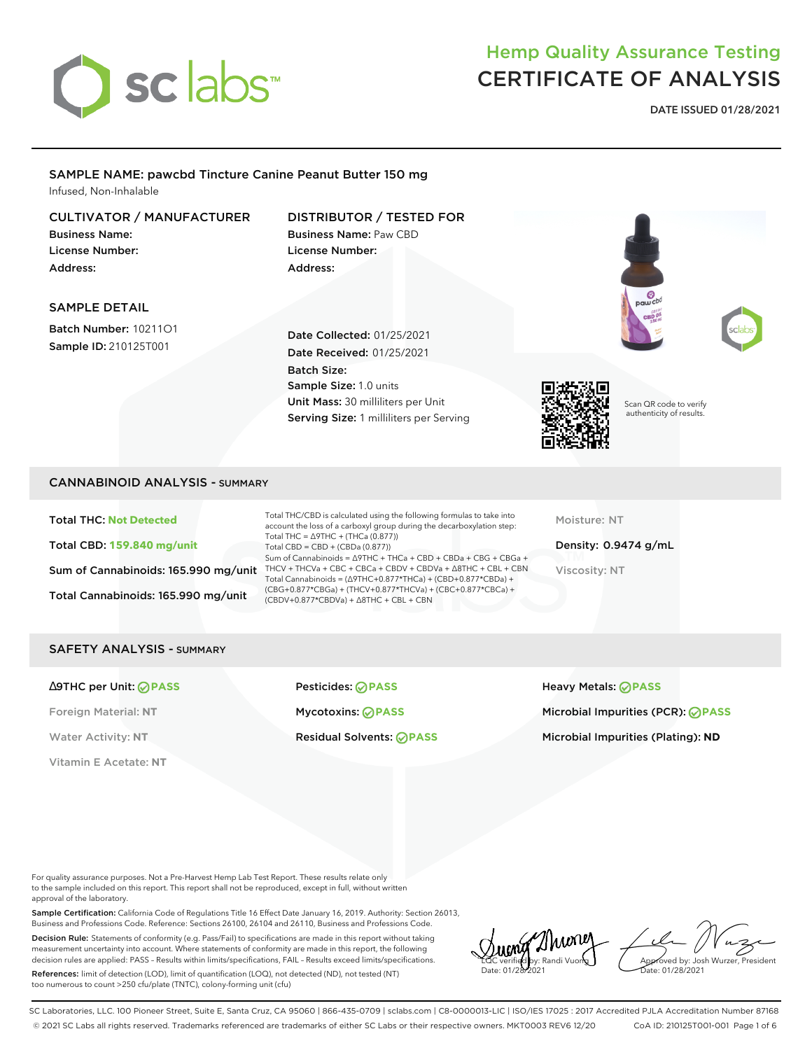

## Hemp Quality Assurance Testing CERTIFICATE OF ANALYSIS

**DATE ISSUED 01/28/2021**

#### SAMPLE NAME: pawcbd Tincture Canine Peanut Butter 150 mg Infused, Non-Inhalable

#### CULTIVATOR / MANUFACTURER

Business Name: License Number: Address:

#### DISTRIBUTOR / TESTED FOR Business Name: Paw CBD License Number:

Address:

#### SAMPLE DETAIL

Batch Number: 10211O1 Sample ID: 210125T001

Date Collected: 01/25/2021 Date Received: 01/25/2021 Batch Size: Sample Size: 1.0 units Unit Mass: 30 milliliters per Unit Serving Size: 1 milliliters per Serving



Scan QR code to verify authenticity of results.

#### CANNABINOID ANALYSIS - SUMMARY

Total THC: **Not Detected** Total CBD: **159.840 mg/unit** Sum of Cannabinoids: 165.990 mg/unit Total Cannabinoids: 165.990 mg/unit

Total THC/CBD is calculated using the following formulas to take into account the loss of a carboxyl group during the decarboxylation step: Total THC = ∆9THC + (THCa (0.877)) Total CBD = CBD + (CBDa (0.877)) Sum of Cannabinoids = ∆9THC + THCa + CBD + CBDa + CBG + CBGa + THCV + THCVa + CBC + CBCa + CBDV + CBDVa + ∆8THC + CBL + CBN Total Cannabinoids = (∆9THC+0.877\*THCa) + (CBD+0.877\*CBDa) + (CBG+0.877\*CBGa) + (THCV+0.877\*THCVa) + (CBC+0.877\*CBCa) + (CBDV+0.877\*CBDVa) + ∆8THC + CBL + CBN

Moisture: NT

Density: 0.9474 g/mL Viscosity: NT

#### SAFETY ANALYSIS - SUMMARY

Vitamin E Acetate: **NT**

∆9THC per Unit: **PASS** Pesticides: **PASS** Heavy Metals: **PASS**

Foreign Material: **NT** Mycotoxins: **PASS** Microbial Impurities (PCR): **PASS** Water Activity: NT **Residual Solvents: PASS Microbial Impurities (Plating): ND** Microbial Impurities (Plating): ND

For quality assurance purposes. Not a Pre-Harvest Hemp Lab Test Report. These results relate only to the sample included on this report. This report shall not be reproduced, except in full, without written approval of the laboratory.

Sample Certification: California Code of Regulations Title 16 Effect Date January 16, 2019. Authority: Section 26013, Business and Professions Code. Reference: Sections 26100, 26104 and 26110, Business and Professions Code.

Decision Rule: Statements of conformity (e.g. Pass/Fail) to specifications are made in this report without taking measurement uncertainty into account. Where statements of conformity are made in this report, the following decision rules are applied: PASS – Results within limits/specifications, FAIL – Results exceed limits/specifications.

References: limit of detection (LOD), limit of quantification (LOQ), not detected (ND), not tested (NT) too numerous to count >250 cfu/plate (TNTC), colony-forming unit (cfu)

LQC verified by: Randi Vuong Date: 01/28/2021

Approved by: Josh Wurzer, President ate: 01/28/2021

SC Laboratories, LLC. 100 Pioneer Street, Suite E, Santa Cruz, CA 95060 | 866-435-0709 | sclabs.com | C8-0000013-LIC | ISO/IES 17025 : 2017 Accredited PJLA Accreditation Number 87168 © 2021 SC Labs all rights reserved. Trademarks referenced are trademarks of either SC Labs or their respective owners. MKT0003 REV6 12/20 CoA ID: 210125T001-001 Page 1 of 6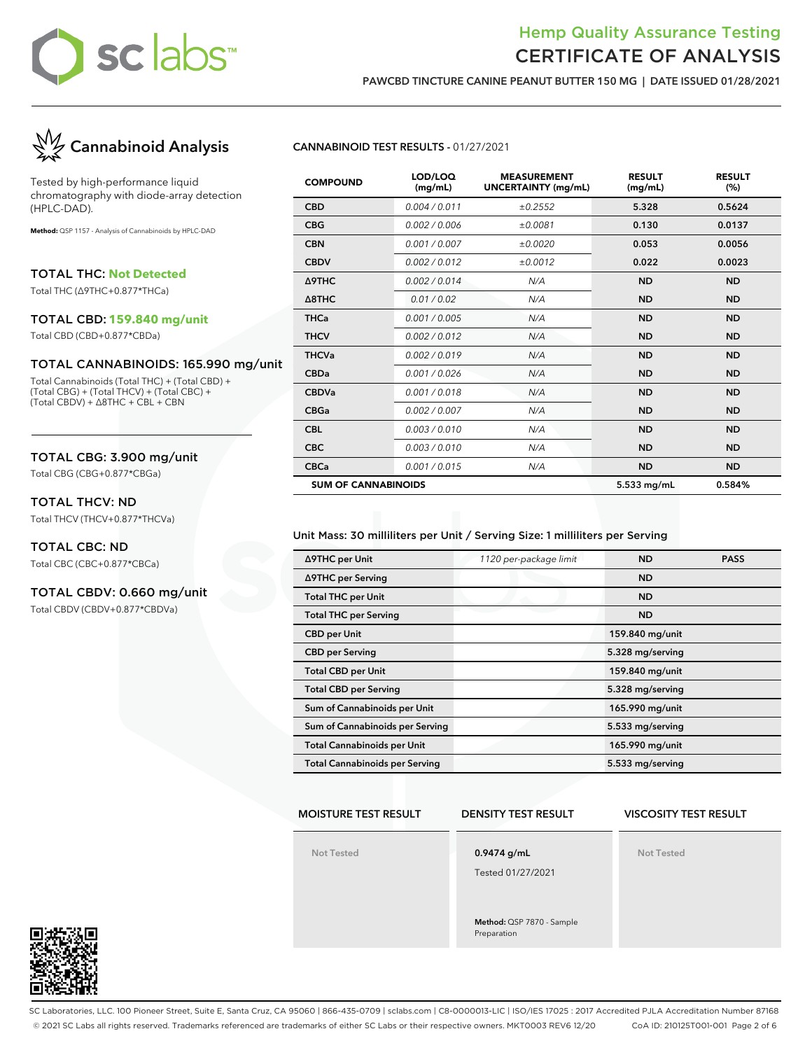## sc labs™

### Hemp Quality Assurance Testing CERTIFICATE OF ANALYSIS

**PAWCBD TINCTURE CANINE PEANUT BUTTER 150 MG | DATE ISSUED 01/28/2021**



Tested by high-performance liquid chromatography with diode-array detection (HPLC-DAD).

**Method:** QSP 1157 - Analysis of Cannabinoids by HPLC-DAD

TOTAL THC: **Not Detected**

Total THC (∆9THC+0.877\*THCa)

#### TOTAL CBD: **159.840 mg/unit**

Total CBD (CBD+0.877\*CBDa)

#### TOTAL CANNABINOIDS: 165.990 mg/unit

Total Cannabinoids (Total THC) + (Total CBD) + (Total CBG) + (Total THCV) + (Total CBC) + (Total CBDV) + ∆8THC + CBL + CBN

#### TOTAL CBG: 3.900 mg/unit

Total CBG (CBG+0.877\*CBGa)

#### TOTAL THCV: ND

Total THCV (THCV+0.877\*THCVa)

#### TOTAL CBC: ND

Total CBC (CBC+0.877\*CBCa)

#### TOTAL CBDV: 0.660 mg/unit

Total CBDV (CBDV+0.877\*CBDVa)

#### **CANNABINOID TEST RESULTS -** 01/27/2021

| <b>COMPOUND</b>            | LOD/LOQ<br>(mg/mL) | <b>MEASUREMENT</b><br><b>UNCERTAINTY (mg/mL)</b> | <b>RESULT</b><br>(mg/mL) | <b>RESULT</b><br>(%) |
|----------------------------|--------------------|--------------------------------------------------|--------------------------|----------------------|
| <b>CBD</b>                 | 0.004 / 0.011      | ±0.2552                                          | 5.328                    | 0.5624               |
| <b>CBG</b>                 | 0.002 / 0.006      | ±0.0081                                          | 0.130                    | 0.0137               |
| <b>CBN</b>                 | 0.001/0.007        | ±0.0020                                          | 0.053                    | 0.0056               |
| <b>CBDV</b>                | 0.002/0.012        | ±0.0012                                          | 0.022                    | 0.0023               |
| Δ9THC                      | 0.002/0.014        | N/A                                              | <b>ND</b>                | <b>ND</b>            |
| $\triangle$ 8THC           | 0.01 / 0.02        | N/A                                              | <b>ND</b>                | <b>ND</b>            |
| <b>THCa</b>                | 0.001 / 0.005      | N/A                                              | <b>ND</b>                | <b>ND</b>            |
| <b>THCV</b>                | 0.002 / 0.012      | N/A                                              | <b>ND</b>                | <b>ND</b>            |
| <b>THCVa</b>               | 0.002 / 0.019      | N/A                                              | <b>ND</b>                | <b>ND</b>            |
| <b>CBDa</b>                | 0.001/0.026        | N/A                                              | <b>ND</b>                | <b>ND</b>            |
| <b>CBDVa</b>               | 0.001/0.018        | N/A                                              | <b>ND</b>                | <b>ND</b>            |
| <b>CBGa</b>                | 0.002 / 0.007      | N/A                                              | <b>ND</b>                | <b>ND</b>            |
| <b>CBL</b>                 | 0.003/0.010        | N/A                                              | <b>ND</b>                | <b>ND</b>            |
| <b>CBC</b>                 | 0.003/0.010        | N/A                                              | <b>ND</b>                | <b>ND</b>            |
| <b>CBCa</b>                | 0.001 / 0.015      | N/A                                              | <b>ND</b>                | <b>ND</b>            |
| <b>SUM OF CANNABINOIDS</b> |                    |                                                  | 5.533 mg/mL              | 0.584%               |

#### Unit Mass: 30 milliliters per Unit / Serving Size: 1 milliliters per Serving

| ∆9THC per Unit                        | 1120 per-package limit | <b>ND</b>        | <b>PASS</b> |
|---------------------------------------|------------------------|------------------|-------------|
| ∆9THC per Serving                     |                        | <b>ND</b>        |             |
| <b>Total THC per Unit</b>             |                        | <b>ND</b>        |             |
| <b>Total THC per Serving</b>          |                        | <b>ND</b>        |             |
| <b>CBD</b> per Unit                   |                        | 159.840 mg/unit  |             |
| <b>CBD</b> per Serving                |                        | 5.328 mg/serving |             |
| <b>Total CBD per Unit</b>             |                        | 159.840 mg/unit  |             |
| <b>Total CBD per Serving</b>          |                        | 5.328 mg/serving |             |
| Sum of Cannabinoids per Unit          |                        | 165.990 mg/unit  |             |
| Sum of Cannabinoids per Serving       |                        | 5.533 mg/serving |             |
| <b>Total Cannabinoids per Unit</b>    |                        | 165.990 mg/unit  |             |
| <b>Total Cannabinoids per Serving</b> |                        | 5.533 mg/serving |             |

#### **MOISTURE TEST RESULT**

**DENSITY TEST RESULT**

#### **VISCOSITY TEST RESULT**

**Not Tested**

**0.9474 g/mL**

Tested 01/27/2021

**Method:** QSP 7870 - Sample Preparation

**Not Tested**



SC Laboratories, LLC. 100 Pioneer Street, Suite E, Santa Cruz, CA 95060 | 866-435-0709 | sclabs.com | C8-0000013-LIC | ISO/IES 17025 : 2017 Accredited PJLA Accreditation Number 87168 © 2021 SC Labs all rights reserved. Trademarks referenced are trademarks of either SC Labs or their respective owners. MKT0003 REV6 12/20 CoA ID: 210125T001-001 Page 2 of 6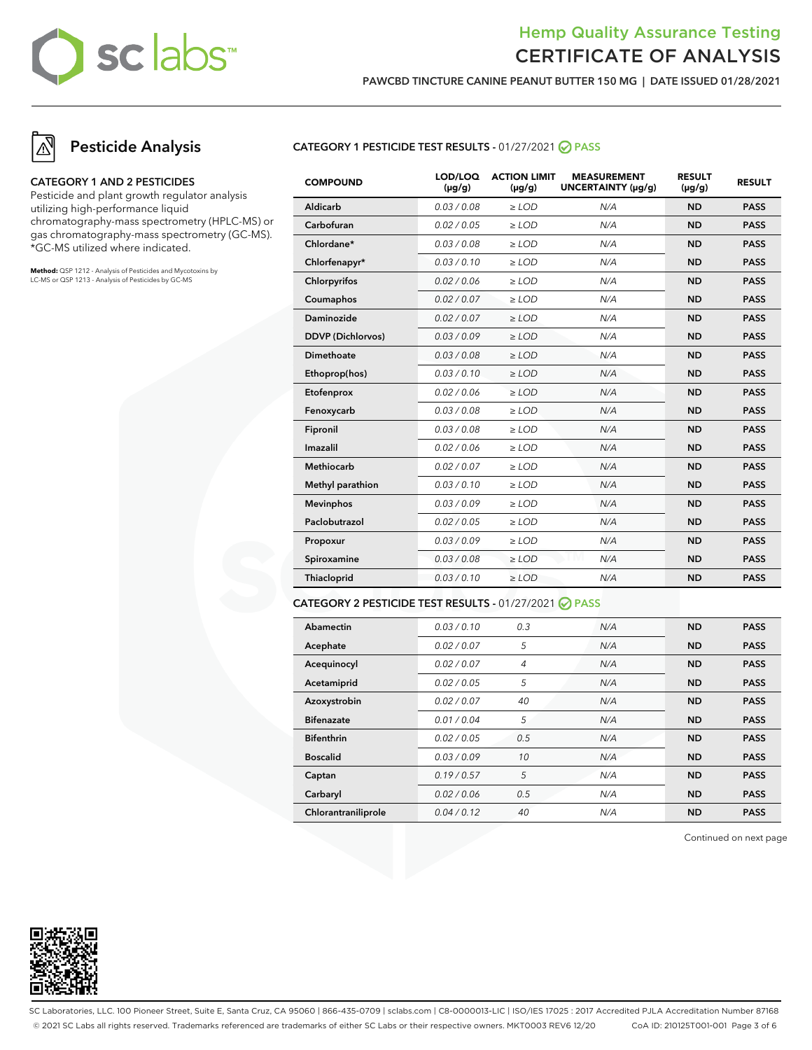## sc labs™

### Hemp Quality Assurance Testing CERTIFICATE OF ANALYSIS

**PAWCBD TINCTURE CANINE PEANUT BUTTER 150 MG | DATE ISSUED 01/28/2021**

## **Pesticide Analysis**

#### **CATEGORY 1 AND 2 PESTICIDES**

Pesticide and plant growth regulator analysis utilizing high-performance liquid chromatography-mass spectrometry (HPLC-MS) or gas chromatography-mass spectrometry (GC-MS). \*GC-MS utilized where indicated.

**Method:** QSP 1212 - Analysis of Pesticides and Mycotoxins by LC-MS or QSP 1213 - Analysis of Pesticides by GC-MS

#### **CATEGORY 1 PESTICIDE TEST RESULTS -** 01/27/2021 **PASS**

| <b>COMPOUND</b>          | LOD/LOQ<br>$(\mu g/g)$ | <b>ACTION LIMIT</b><br>$(\mu g/g)$ | <b>MEASUREMENT</b><br>UNCERTAINTY (µg/g) | <b>RESULT</b><br>$(\mu g/g)$ | <b>RESULT</b> |
|--------------------------|------------------------|------------------------------------|------------------------------------------|------------------------------|---------------|
| Aldicarb                 | 0.03 / 0.08            | $>$ LOD                            | N/A                                      | <b>ND</b>                    | <b>PASS</b>   |
| Carbofuran               | 0.02 / 0.05            | $\ge$ LOD                          | N/A                                      | <b>ND</b>                    | <b>PASS</b>   |
| Chlordane*               | 0.03 / 0.08            | $>$ LOD                            | N/A                                      | <b>ND</b>                    | <b>PASS</b>   |
| Chlorfenapyr*            | 0.03/0.10              | $>$ LOD                            | N/A                                      | <b>ND</b>                    | <b>PASS</b>   |
| Chlorpyrifos             | 0.02 / 0.06            | $\geq$ LOD                         | N/A                                      | <b>ND</b>                    | <b>PASS</b>   |
| Coumaphos                | 0.02 / 0.07            | $\ge$ LOD                          | N/A                                      | <b>ND</b>                    | <b>PASS</b>   |
| Daminozide               | 0.02 / 0.07            | $\ge$ LOD                          | N/A                                      | <b>ND</b>                    | <b>PASS</b>   |
| <b>DDVP</b> (Dichlorvos) | 0.03/0.09              | $\ge$ LOD                          | N/A                                      | <b>ND</b>                    | <b>PASS</b>   |
| Dimethoate               | 0.03 / 0.08            | $\ge$ LOD                          | N/A                                      | <b>ND</b>                    | <b>PASS</b>   |
| Ethoprop(hos)            | 0.03/0.10              | $\ge$ LOD                          | N/A                                      | <b>ND</b>                    | <b>PASS</b>   |
| Etofenprox               | 0.02 / 0.06            | $\ge$ LOD                          | N/A                                      | <b>ND</b>                    | <b>PASS</b>   |
| Fenoxycarb               | 0.03 / 0.08            | $\ge$ LOD                          | N/A                                      | <b>ND</b>                    | <b>PASS</b>   |
| Fipronil                 | 0.03 / 0.08            | $\ge$ LOD                          | N/A                                      | <b>ND</b>                    | <b>PASS</b>   |
| Imazalil                 | 0.02 / 0.06            | $\ge$ LOD                          | N/A                                      | <b>ND</b>                    | <b>PASS</b>   |
| <b>Methiocarb</b>        | 0.02 / 0.07            | $\ge$ LOD                          | N/A                                      | <b>ND</b>                    | <b>PASS</b>   |
| Methyl parathion         | 0.03 / 0.10            | $\ge$ LOD                          | N/A                                      | <b>ND</b>                    | <b>PASS</b>   |
| <b>Mevinphos</b>         | 0.03/0.09              | $\ge$ LOD                          | N/A                                      | <b>ND</b>                    | <b>PASS</b>   |
| Paclobutrazol            | 0.02 / 0.05            | $\ge$ LOD                          | N/A                                      | <b>ND</b>                    | <b>PASS</b>   |
| Propoxur                 | 0.03 / 0.09            | $\geq$ LOD                         | N/A                                      | <b>ND</b>                    | <b>PASS</b>   |
| Spiroxamine              | 0.03 / 0.08            | $\ge$ LOD                          | N/A                                      | <b>ND</b>                    | <b>PASS</b>   |
| Thiacloprid              | 0.03/0.10              | $\ge$ LOD                          | N/A                                      | <b>ND</b>                    | <b>PASS</b>   |
|                          |                        |                                    |                                          |                              |               |

#### **CATEGORY 2 PESTICIDE TEST RESULTS -** 01/27/2021 **PASS**

| Abamectin           | 0.03/0.10   | 0.3            | N/A | <b>ND</b> | <b>PASS</b> |
|---------------------|-------------|----------------|-----|-----------|-------------|
| Acephate            | 0.02 / 0.07 | 5              | N/A | <b>ND</b> | <b>PASS</b> |
| Acequinocyl         | 0.02 / 0.07 | $\overline{4}$ | N/A | <b>ND</b> | <b>PASS</b> |
| Acetamiprid         | 0.02/0.05   | 5              | N/A | <b>ND</b> | <b>PASS</b> |
| Azoxystrobin        | 0.02 / 0.07 | 40             | N/A | <b>ND</b> | <b>PASS</b> |
| <b>Bifenazate</b>   | 0.01 / 0.04 | 5              | N/A | <b>ND</b> | <b>PASS</b> |
| <b>Bifenthrin</b>   | 0.02/0.05   | 0.5            | N/A | <b>ND</b> | <b>PASS</b> |
| <b>Boscalid</b>     | 0.03/0.09   | 10             | N/A | <b>ND</b> | <b>PASS</b> |
| Captan              | 0.19/0.57   | 5              | N/A | <b>ND</b> | <b>PASS</b> |
| Carbaryl            | 0.02 / 0.06 | 0.5            | N/A | <b>ND</b> | <b>PASS</b> |
| Chlorantraniliprole | 0.04/0.12   | 40             | N/A | <b>ND</b> | <b>PASS</b> |

Continued on next page



SC Laboratories, LLC. 100 Pioneer Street, Suite E, Santa Cruz, CA 95060 | 866-435-0709 | sclabs.com | C8-0000013-LIC | ISO/IES 17025 : 2017 Accredited PJLA Accreditation Number 87168 © 2021 SC Labs all rights reserved. Trademarks referenced are trademarks of either SC Labs or their respective owners. MKT0003 REV6 12/20 CoA ID: 210125T001-001 Page 3 of 6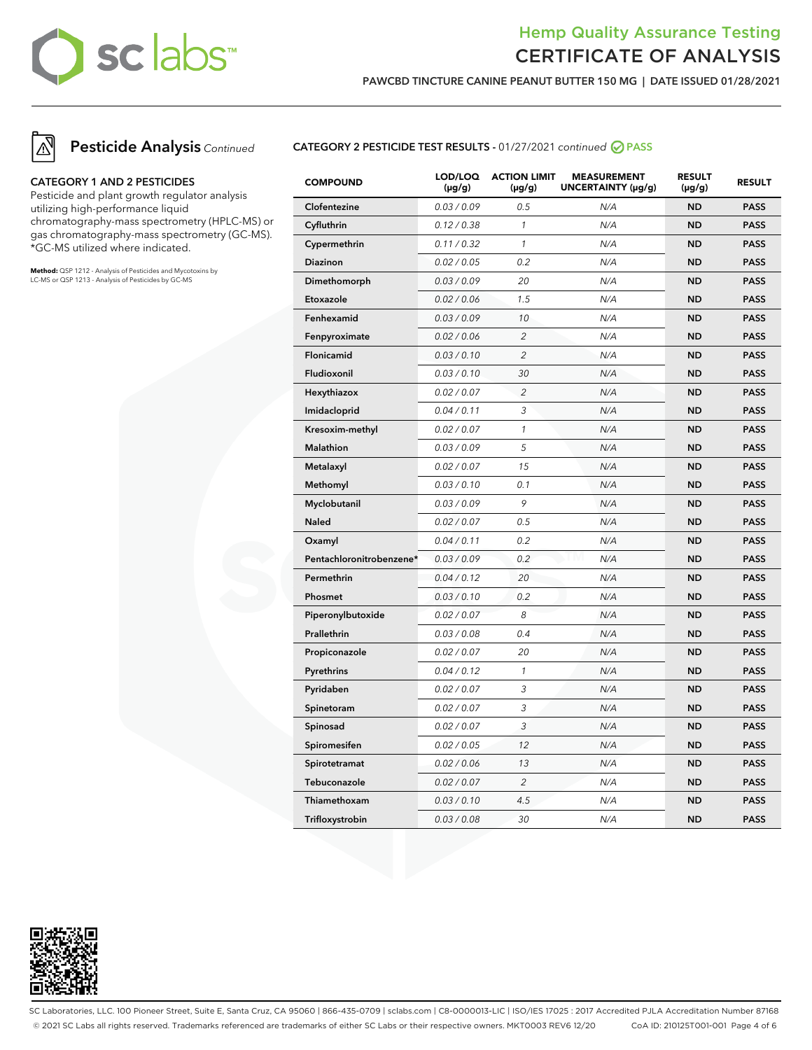## sc labs™

### Hemp Quality Assurance Testing CERTIFICATE OF ANALYSIS

**PAWCBD TINCTURE CANINE PEANUT BUTTER 150 MG | DATE ISSUED 01/28/2021**





#### **CATEGORY 1 AND 2 PESTICIDES**

Pesticide and plant growth regulator analysis utilizing high-performance liquid chromatography-mass spectrometry (HPLC-MS) or gas chromatography-mass spectrometry (GC-MS). \*GC-MS utilized where indicated.

**Method:** QSP 1212 - Analysis of Pesticides and Mycotoxins by LC-MS or QSP 1213 - Analysis of Pesticides by GC-MS

#### **CATEGORY 2 PESTICIDE TEST RESULTS -** 01/27/2021 continued **PASS**

| <b>COMPOUND</b>          | LOD/LOQ<br>$(\mu g/g)$ | <b>ACTION LIMIT</b><br>$(\mu g/g)$ | <b>MEASUREMENT</b><br>UNCERTAINTY (µg/g) | <b>RESULT</b><br>$(\mu g/g)$ | <b>RESULT</b> |
|--------------------------|------------------------|------------------------------------|------------------------------------------|------------------------------|---------------|
| Clofentezine             | 0.03 / 0.09            | 0.5                                | N/A                                      | <b>ND</b>                    | <b>PASS</b>   |
| Cyfluthrin               | 0.12 / 0.38            | $\mathcal{I}$                      | N/A                                      | <b>ND</b>                    | <b>PASS</b>   |
| Cypermethrin             | 0.11 / 0.32            | $\mathcal{I}$                      | N/A                                      | <b>ND</b>                    | <b>PASS</b>   |
| Diazinon                 | 0.02 / 0.05            | 0.2                                | N/A                                      | <b>ND</b>                    | <b>PASS</b>   |
| Dimethomorph             | 0.03 / 0.09            | 20                                 | N/A                                      | <b>ND</b>                    | <b>PASS</b>   |
| Etoxazole                | 0.02 / 0.06            | 1.5                                | N/A                                      | <b>ND</b>                    | <b>PASS</b>   |
| Fenhexamid               | 0.03 / 0.09            | 10                                 | N/A                                      | <b>ND</b>                    | <b>PASS</b>   |
| Fenpyroximate            | 0.02 / 0.06            | $\overline{2}$                     | N/A                                      | <b>ND</b>                    | <b>PASS</b>   |
| Flonicamid               | 0.03 / 0.10            | $\overline{c}$                     | N/A                                      | <b>ND</b>                    | <b>PASS</b>   |
| Fludioxonil              | 0.03 / 0.10            | 30                                 | N/A                                      | <b>ND</b>                    | <b>PASS</b>   |
| Hexythiazox              | 0.02 / 0.07            | $\overline{c}$                     | N/A                                      | <b>ND</b>                    | <b>PASS</b>   |
| Imidacloprid             | 0.04 / 0.11            | 3                                  | N/A                                      | <b>ND</b>                    | <b>PASS</b>   |
| Kresoxim-methyl          | 0.02 / 0.07            | $\mathcal{I}$                      | N/A                                      | <b>ND</b>                    | <b>PASS</b>   |
| <b>Malathion</b>         | 0.03 / 0.09            | 5                                  | N/A                                      | <b>ND</b>                    | <b>PASS</b>   |
| Metalaxyl                | 0.02 / 0.07            | 15                                 | N/A                                      | <b>ND</b>                    | <b>PASS</b>   |
| Methomyl                 | 0.03 / 0.10            | 0.1                                | N/A                                      | <b>ND</b>                    | <b>PASS</b>   |
| Myclobutanil             | 0.03 / 0.09            | 9                                  | N/A                                      | <b>ND</b>                    | <b>PASS</b>   |
| <b>Naled</b>             | 0.02 / 0.07            | 0.5                                | N/A                                      | <b>ND</b>                    | <b>PASS</b>   |
| Oxamyl                   | 0.04 / 0.11            | 0.2                                | N/A                                      | <b>ND</b>                    | <b>PASS</b>   |
| Pentachloronitrobenzene* | 0.03 / 0.09            | 0.2                                | N/A                                      | <b>ND</b>                    | <b>PASS</b>   |
| Permethrin               | 0.04 / 0.12            | 20                                 | N/A                                      | <b>ND</b>                    | <b>PASS</b>   |
| Phosmet                  | 0.03 / 0.10            | 0.2                                | N/A                                      | <b>ND</b>                    | <b>PASS</b>   |
| Piperonylbutoxide        | 0.02 / 0.07            | 8                                  | N/A                                      | <b>ND</b>                    | <b>PASS</b>   |
| Prallethrin              | 0.03 / 0.08            | 0.4                                | N/A                                      | <b>ND</b>                    | <b>PASS</b>   |
| Propiconazole            | 0.02 / 0.07            | 20                                 | N/A                                      | <b>ND</b>                    | <b>PASS</b>   |
| Pyrethrins               | 0.04 / 0.12            | $\mathcal{I}$                      | N/A                                      | <b>ND</b>                    | <b>PASS</b>   |
| Pyridaben                | 0.02 / 0.07            | 3                                  | N/A                                      | <b>ND</b>                    | <b>PASS</b>   |
| Spinetoram               | 0.02 / 0.07            | 3                                  | N/A                                      | <b>ND</b>                    | <b>PASS</b>   |
| Spinosad                 | 0.02 / 0.07            | 3                                  | N/A                                      | <b>ND</b>                    | <b>PASS</b>   |
| Spiromesifen             | 0.02 / 0.05            | 12                                 | N/A                                      | <b>ND</b>                    | <b>PASS</b>   |
| Spirotetramat            | 0.02 / 0.06            | 13                                 | N/A                                      | <b>ND</b>                    | <b>PASS</b>   |
| Tebuconazole             | 0.02 / 0.07            | $\overline{c}$                     | N/A                                      | <b>ND</b>                    | <b>PASS</b>   |
| Thiamethoxam             | 0.03 / 0.10            | 4.5                                | N/A                                      | <b>ND</b>                    | <b>PASS</b>   |
| Trifloxystrobin          | 0.03 / 0.08            | 30                                 | N/A                                      | <b>ND</b>                    | <b>PASS</b>   |



SC Laboratories, LLC. 100 Pioneer Street, Suite E, Santa Cruz, CA 95060 | 866-435-0709 | sclabs.com | C8-0000013-LIC | ISO/IES 17025 : 2017 Accredited PJLA Accreditation Number 87168 © 2021 SC Labs all rights reserved. Trademarks referenced are trademarks of either SC Labs or their respective owners. MKT0003 REV6 12/20 CoA ID: 210125T001-001 Page 4 of 6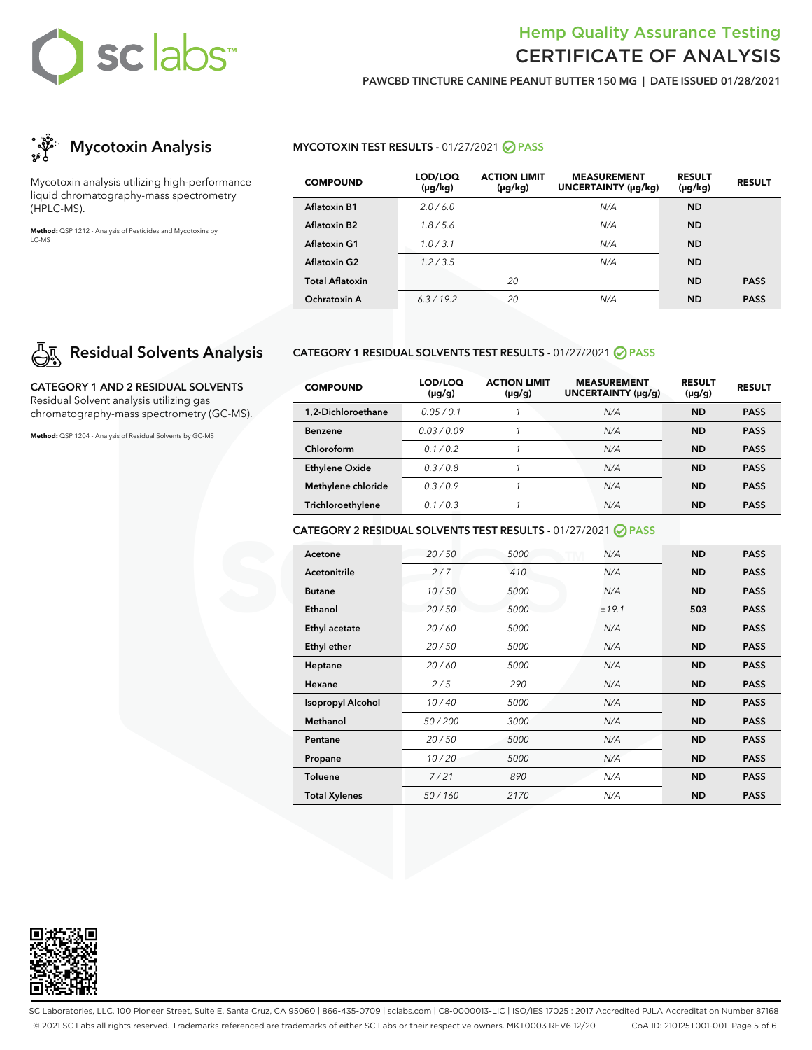# sclabs™

### Hemp Quality Assurance Testing CERTIFICATE OF ANALYSIS

**PAWCBD TINCTURE CANINE PEANUT BUTTER 150 MG | DATE ISSUED 01/28/2021**



Mycotoxin analysis utilizing high-performance liquid chromatography-mass spectrometry (HPLC-MS).

**Method:** QSP 1212 - Analysis of Pesticides and Mycotoxins by LC-MS

## **Residual Solvents Analysis**

**CATEGORY 1 AND 2 RESIDUAL SOLVENTS** Residual Solvent analysis utilizing gas chromatography-mass spectrometry (GC-MS).

**Method:** QSP 1204 - Analysis of Residual Solvents by GC-MS

#### **MYCOTOXIN TEST RESULTS - 01/27/2021 ⊘ PASS**

| <b>COMPOUND</b>        | LOD/LOQ<br>(µg/kg) | <b>ACTION LIMIT</b><br>$(\mu g/kg)$ | <b>MEASUREMENT</b><br>UNCERTAINTY (µg/kg) | <b>RESULT</b><br>$(\mu g/kg)$ | <b>RESULT</b> |
|------------------------|--------------------|-------------------------------------|-------------------------------------------|-------------------------------|---------------|
| <b>Aflatoxin B1</b>    | 2.0/6.0            |                                     | N/A                                       | <b>ND</b>                     |               |
| Aflatoxin B2           | 1.8/5.6            |                                     | N/A                                       | <b>ND</b>                     |               |
| Aflatoxin G1           | 1.0/3.1            |                                     | N/A                                       | <b>ND</b>                     |               |
| <b>Aflatoxin G2</b>    | 1.2/3.5            |                                     | N/A                                       | <b>ND</b>                     |               |
| <b>Total Aflatoxin</b> |                    | 20                                  |                                           | <b>ND</b>                     | <b>PASS</b>   |
| Ochratoxin A           | 6.3/19.2           | 20                                  | N/A                                       | <b>ND</b>                     | <b>PASS</b>   |

#### **CATEGORY 1 RESIDUAL SOLVENTS TEST RESULTS -** 01/27/2021 **PASS**

| <b>COMPOUND</b>       | LOD/LOQ<br>$(\mu g/g)$ | <b>ACTION LIMIT</b><br>$(\mu g/g)$ | <b>MEASUREMENT</b><br>UNCERTAINTY (µq/q) | <b>RESULT</b><br>$(\mu g/g)$ | <b>RESULT</b> |
|-----------------------|------------------------|------------------------------------|------------------------------------------|------------------------------|---------------|
| 1.2-Dichloroethane    | 0.05/0.1               |                                    | N/A                                      | <b>ND</b>                    | <b>PASS</b>   |
| <b>Benzene</b>        | 0.03/0.09              |                                    | N/A                                      | ND                           | <b>PASS</b>   |
| Chloroform            | 0.1/0.2                |                                    | N/A                                      | <b>ND</b>                    | <b>PASS</b>   |
| <b>Ethylene Oxide</b> | 0.3/0.8                |                                    | N/A                                      | <b>ND</b>                    | <b>PASS</b>   |
| Methylene chloride    | 0.3/0.9                |                                    | N/A                                      | ND                           | <b>PASS</b>   |
| Trichloroethylene     | 0.1/0.3                |                                    | N/A                                      | ND                           | <b>PASS</b>   |

#### **CATEGORY 2 RESIDUAL SOLVENTS TEST RESULTS -** 01/27/2021 **PASS**

| Acetone                  | 20/50  | 5000 | N/A   | <b>ND</b> | <b>PASS</b> |
|--------------------------|--------|------|-------|-----------|-------------|
| <b>Acetonitrile</b>      | 2/7    | 410  | N/A   | <b>ND</b> | <b>PASS</b> |
| <b>Butane</b>            | 10/50  | 5000 | N/A   | <b>ND</b> | <b>PASS</b> |
| Ethanol                  | 20/50  | 5000 | ±19.1 | 503       | <b>PASS</b> |
| Ethyl acetate            | 20/60  | 5000 | N/A   | <b>ND</b> | <b>PASS</b> |
| <b>Ethyl ether</b>       | 20/50  | 5000 | N/A   | <b>ND</b> | <b>PASS</b> |
| Heptane                  | 20/60  | 5000 | N/A   | <b>ND</b> | <b>PASS</b> |
| Hexane                   | 2/5    | 290  | N/A   | <b>ND</b> | <b>PASS</b> |
| <b>Isopropyl Alcohol</b> | 10/40  | 5000 | N/A   | <b>ND</b> | <b>PASS</b> |
| Methanol                 | 50/200 | 3000 | N/A   | <b>ND</b> | <b>PASS</b> |
| Pentane                  | 20/50  | 5000 | N/A   | <b>ND</b> | <b>PASS</b> |
| Propane                  | 10/20  | 5000 | N/A   | <b>ND</b> | <b>PASS</b> |
| <b>Toluene</b>           | 7/21   | 890  | N/A   | <b>ND</b> | <b>PASS</b> |
| <b>Total Xylenes</b>     | 50/160 | 2170 | N/A   | <b>ND</b> | <b>PASS</b> |



SC Laboratories, LLC. 100 Pioneer Street, Suite E, Santa Cruz, CA 95060 | 866-435-0709 | sclabs.com | C8-0000013-LIC | ISO/IES 17025 : 2017 Accredited PJLA Accreditation Number 87168 © 2021 SC Labs all rights reserved. Trademarks referenced are trademarks of either SC Labs or their respective owners. MKT0003 REV6 12/20 CoA ID: 210125T001-001 Page 5 of 6